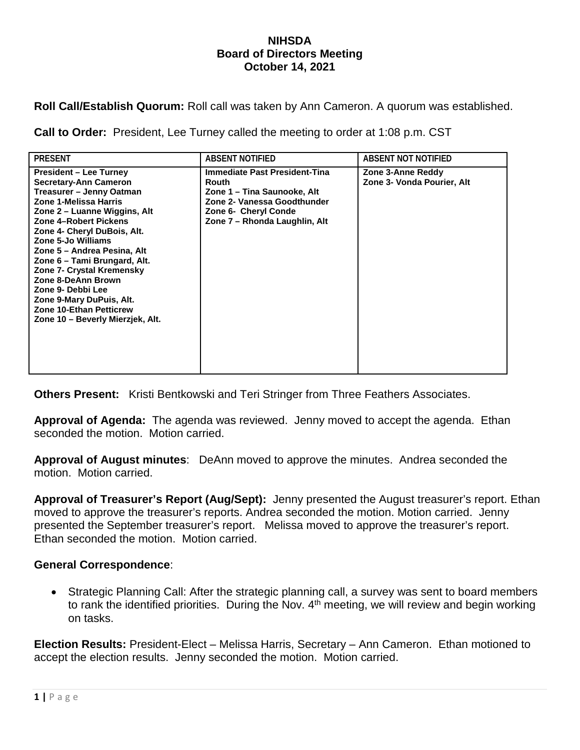## **NIHSDA Board of Directors Meeting October 14, 2021**

**Roll Call/Establish Quorum:** Roll call was taken by Ann Cameron. A quorum was established.

**Call to Order:** President, Lee Turney called the meeting to order at 1:08 p.m. CST

| <b>PRESENT</b>                                                                                                                                                                                                                                                                                                                                                                                                                                                            | <b>ABSENT NOTIFIED</b>                                                                                                                                               | <b>ABSENT NOT NOTIFIED</b>                      |
|---------------------------------------------------------------------------------------------------------------------------------------------------------------------------------------------------------------------------------------------------------------------------------------------------------------------------------------------------------------------------------------------------------------------------------------------------------------------------|----------------------------------------------------------------------------------------------------------------------------------------------------------------------|-------------------------------------------------|
| <b>President – Lee Turney</b><br><b>Secretary-Ann Cameron</b><br>Treasurer - Jenny Oatman<br>Zone 1-Melissa Harris<br>Zone 2 – Luanne Wiggins, Alt<br>Zone 4-Robert Pickens<br>Zone 4- Cheryl DuBois, Alt.<br>Zone 5-Jo Williams<br>Zone 5 – Andrea Pesina, Alt<br>Zone 6 – Tami Brungard, Alt.<br>Zone 7- Crystal Kremensky<br>Zone 8-DeAnn Brown<br>Zone 9- Debbi Lee<br>Zone 9-Mary DuPuis, Alt.<br><b>Zone 10-Ethan Petticrew</b><br>Zone 10 - Beverly Mierzjek, Alt. | <b>Immediate Past President-Tina</b><br>Routh<br>Zone 1 – Tina Saunooke, Alt<br>Zone 2- Vanessa Goodthunder<br>Zone 6- Cheryl Conde<br>Zone 7 – Rhonda Laughlin, Alt | Zone 3-Anne Reddy<br>Zone 3- Vonda Pourier, Alt |

**Others Present:** Kristi Bentkowski and Teri Stringer from Three Feathers Associates.

**Approval of Agenda:** The agenda was reviewed. Jenny moved to accept the agenda. Ethan seconded the motion. Motion carried.

**Approval of August minutes**: DeAnn moved to approve the minutes. Andrea seconded the motion. Motion carried.

**Approval of Treasurer's Report (Aug/Sept):** Jenny presented the August treasurer's report. Ethan moved to approve the treasurer's reports. Andrea seconded the motion. Motion carried. Jenny presented the September treasurer's report. Melissa moved to approve the treasurer's report. Ethan seconded the motion. Motion carried.

## **General Correspondence**:

• Strategic Planning Call: After the strategic planning call, a survey was sent to board members to rank the identified priorities. During the Nov.  $4<sup>th</sup>$  meeting, we will review and begin working on tasks.

**Election Results:** President-Elect – Melissa Harris, Secretary – Ann Cameron. Ethan motioned to accept the election results. Jenny seconded the motion. Motion carried.